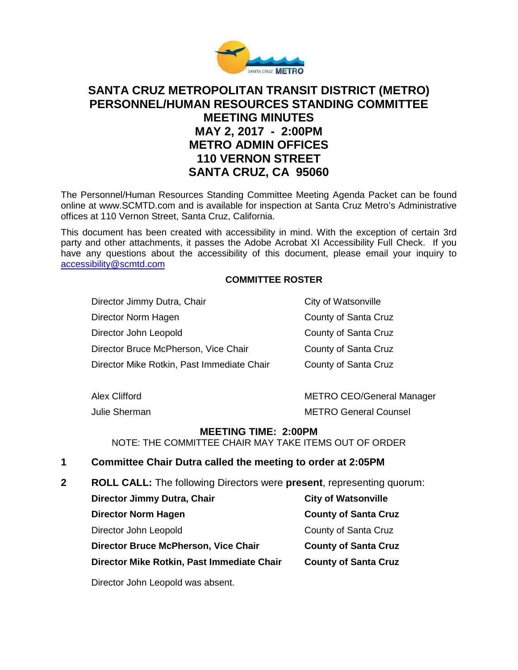

# **SANTA CRUZ METROPOLITAN TRANSIT DISTRICT (METRO) PERSONNEL/HUMAN RESOURCES STANDING COMMITTEE MEETING MINUTES MAY 2, 2017 - 2:00PM METRO ADMIN OFFICES 110 VERNON STREET SANTA CRUZ, CA 95060**

The Personnel/Human Resources Standing Committee Meeting Agenda Packet can be found online at www.SCMTD.com and is available for inspection at Santa Cruz Metro's Administrative offices at 110 Vernon Street, Santa Cruz, California.

This document has been created with accessibility in mind. With the exception of certain 3rd party and other attachments, it passes the Adobe Acrobat XI Accessibility Full Check. If you have any questions about the accessibility of this document, please email your inquiry to [accessibility@scmtd.com](mailto:accessibility@scmtd.com)

### **COMMITTEE ROSTER**

Director Jimmy Dutra, Chair Chair City of Watsonville Director Norm Hagen County of Santa Cruz Director John Leopold County of Santa Cruz Director Bruce McPherson, Vice Chair County of Santa Cruz Director Mike Rotkin, Past Immediate Chair County of Santa Cruz

Julie Sherman METRO General Counsel

Alex Clifford **METRO CEO/General Manager** METRO CEO

#### **MEETING TIME: 2:00PM**

NOTE: THE COMMITTEE CHAIR MAY TAKE ITEMS OUT OF ORDER

#### **1 Committee Chair Dutra called the meeting to order at 2:05PM**

**2 ROLL CALL:** The following Directors were **present**, representing quorum:

| Director Jimmy Dutra, Chair                 | <b>City of Watsonville</b>  |
|---------------------------------------------|-----------------------------|
| <b>Director Norm Hagen</b>                  | <b>County of Santa Cruz</b> |
| Director John Leopold                       | County of Santa Cruz        |
| <b>Director Bruce McPherson, Vice Chair</b> | <b>County of Santa Cruz</b> |
| Director Mike Rotkin, Past Immediate Chair  | <b>County of Santa Cruz</b> |

Director John Leopold was absent.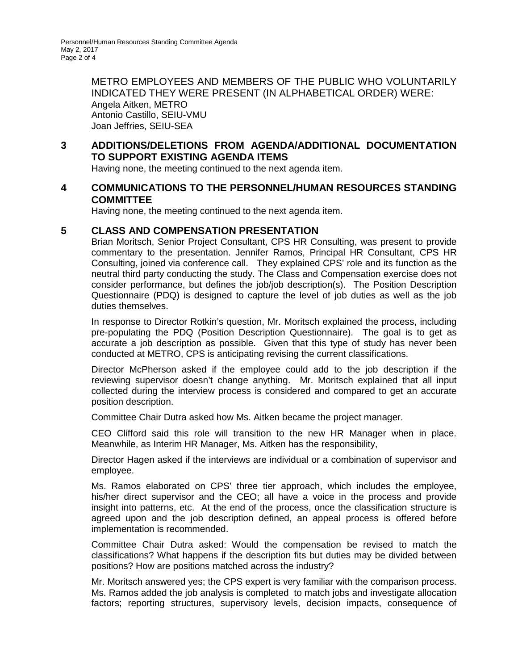METRO EMPLOYEES AND MEMBERS OF THE PUBLIC WHO VOLUNTARILY INDICATED THEY WERE PRESENT (IN ALPHABETICAL ORDER) WERE: Angela Aitken, METRO Antonio Castillo, SEIU-VMU Joan Jeffries, SEIU-SEA

## **3 ADDITIONS/DELETIONS FROM AGENDA/ADDITIONAL DOCUMENTATION TO SUPPORT EXISTING AGENDA ITEMS**

Having none, the meeting continued to the next agenda item.

#### **4 COMMUNICATIONS TO THE PERSONNEL/HUMAN RESOURCES STANDING COMMITTEE**

Having none, the meeting continued to the next agenda item.

#### **5 CLASS AND COMPENSATION PRESENTATION**

Brian Moritsch, Senior Project Consultant, CPS HR Consulting, was present to provide commentary to the presentation. Jennifer Ramos, Principal HR Consultant, CPS HR Consulting, joined via conference call. They explained CPS' role and its function as the neutral third party conducting the study. The Class and Compensation exercise does not consider performance, but defines the job/job description(s). The Position Description Questionnaire (PDQ) is designed to capture the level of job duties as well as the job duties themselves.

In response to Director Rotkin's question, Mr. Moritsch explained the process, including pre-populating the PDQ (Position Description Questionnaire). The goal is to get as accurate a job description as possible. Given that this type of study has never been conducted at METRO, CPS is anticipating revising the current classifications.

Director McPherson asked if the employee could add to the job description if the reviewing supervisor doesn't change anything. Mr. Moritsch explained that all input collected during the interview process is considered and compared to get an accurate position description.

Committee Chair Dutra asked how Ms. Aitken became the project manager.

CEO Clifford said this role will transition to the new HR Manager when in place. Meanwhile, as Interim HR Manager, Ms. Aitken has the responsibility,

Director Hagen asked if the interviews are individual or a combination of supervisor and employee.

Ms. Ramos elaborated on CPS' three tier approach, which includes the employee, his/her direct supervisor and the CEO; all have a voice in the process and provide insight into patterns, etc. At the end of the process, once the classification structure is agreed upon and the job description defined, an appeal process is offered before implementation is recommended.

Committee Chair Dutra asked: Would the compensation be revised to match the classifications? What happens if the description fits but duties may be divided between positions? How are positions matched across the industry?

Mr. Moritsch answered yes; the CPS expert is very familiar with the comparison process. Ms. Ramos added the job analysis is completed to match jobs and investigate allocation factors; reporting structures, supervisory levels, decision impacts, consequence of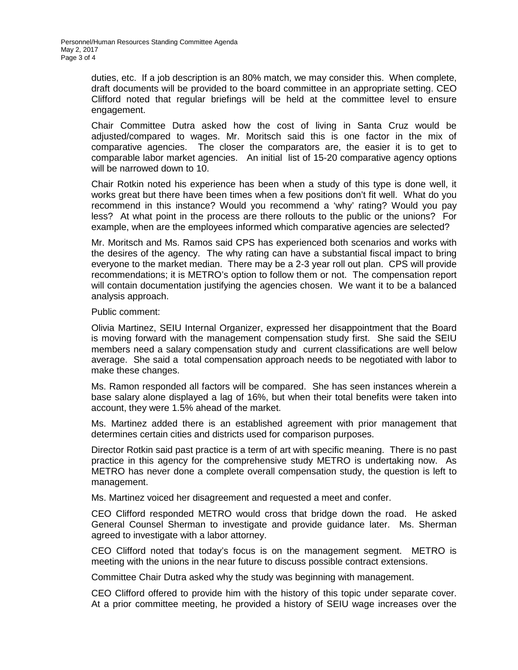duties, etc. If a job description is an 80% match, we may consider this. When complete, draft documents will be provided to the board committee in an appropriate setting. CEO Clifford noted that regular briefings will be held at the committee level to ensure engagement.

Chair Committee Dutra asked how the cost of living in Santa Cruz would be adjusted/compared to wages. Mr. Moritsch said this is one factor in the mix of comparative agencies. The closer the comparators are, the easier it is to get to comparable labor market agencies. An initial list of 15-20 comparative agency options will be narrowed down to 10.

Chair Rotkin noted his experience has been when a study of this type is done well, it works great but there have been times when a few positions don't fit well. What do you recommend in this instance? Would you recommend a 'why' rating? Would you pay less? At what point in the process are there rollouts to the public or the unions? For example, when are the employees informed which comparative agencies are selected?

Mr. Moritsch and Ms. Ramos said CPS has experienced both scenarios and works with the desires of the agency. The why rating can have a substantial fiscal impact to bring everyone to the market median. There may be a 2-3 year roll out plan. CPS will provide recommendations; it is METRO's option to follow them or not. The compensation report will contain documentation justifying the agencies chosen. We want it to be a balanced analysis approach.

#### Public comment:

Olivia Martinez, SEIU Internal Organizer, expressed her disappointment that the Board is moving forward with the management compensation study first. She said the SEIU members need a salary compensation study and current classifications are well below average. She said a total compensation approach needs to be negotiated with labor to make these changes.

Ms. Ramon responded all factors will be compared. She has seen instances wherein a base salary alone displayed a lag of 16%, but when their total benefits were taken into account, they were 1.5% ahead of the market.

Ms. Martinez added there is an established agreement with prior management that determines certain cities and districts used for comparison purposes.

Director Rotkin said past practice is a term of art with specific meaning. There is no past practice in this agency for the comprehensive study METRO is undertaking now. As METRO has never done a complete overall compensation study, the question is left to management.

Ms. Martinez voiced her disagreement and requested a meet and confer.

CEO Clifford responded METRO would cross that bridge down the road. He asked General Counsel Sherman to investigate and provide guidance later. Ms. Sherman agreed to investigate with a labor attorney.

CEO Clifford noted that today's focus is on the management segment. METRO is meeting with the unions in the near future to discuss possible contract extensions.

Committee Chair Dutra asked why the study was beginning with management.

CEO Clifford offered to provide him with the history of this topic under separate cover. At a prior committee meeting, he provided a history of SEIU wage increases over the